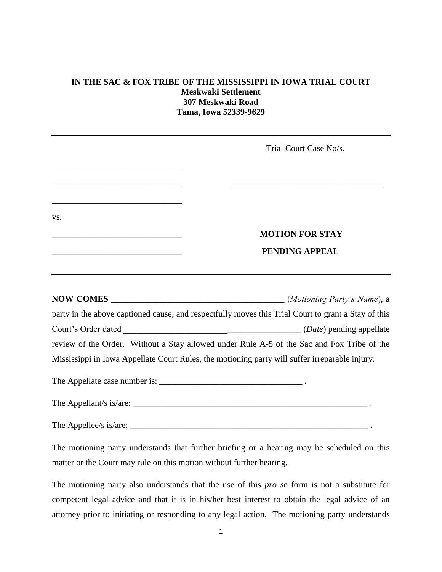## **IN THE SAC & FOX TRIBE OF THE MISSISSIPPI IN IOWA TRIAL COURT Meskwaki Settlement 307 Meskwaki Road Tama, Iowa 52339-9629**

|                                                                                                                        | Trial Court Case No/s.                                                                              |
|------------------------------------------------------------------------------------------------------------------------|-----------------------------------------------------------------------------------------------------|
| <u> 1989 - Johann John Stone, mars et al. (b. 1989)</u><br><u> 1989 - Johann Barbara, martxa al III-lea (h. 1989).</u> |                                                                                                     |
| VS.                                                                                                                    | <b>MOTION FOR STAY</b>                                                                              |
|                                                                                                                        | PENDING APPEAL                                                                                      |
|                                                                                                                        | party in the above captioned cause, and respectfully moves this Trial Court to grant a Stay of this |
|                                                                                                                        |                                                                                                     |
|                                                                                                                        | review of the Order. Without a Stay allowed under Rule A-5 of the Sac and Fox Tribe of the          |
|                                                                                                                        | Mississippi in Iowa Appellate Court Rules, the motioning party will suffer irreparable injury.      |
|                                                                                                                        |                                                                                                     |
|                                                                                                                        |                                                                                                     |
|                                                                                                                        |                                                                                                     |
|                                                                                                                        | The motioning news undevetorde that further brigfing on a beguing may be scheduled on this          |

The motioning party understands that further briefing or a hearing may be scheduled on this matter or the Court may rule on this motion without further hearing.

The motioning party also understands that the use of this *pro se* form is not a substitute for competent legal advice and that it is in his/her best interest to obtain the legal advice of an attorney prior to initiating or responding to any legal action. The motioning party understands